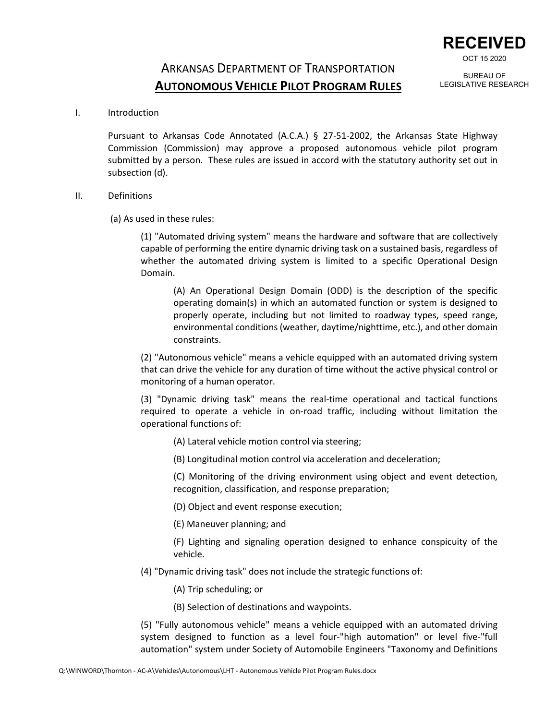

OCT 15 2020

## ARKANSAS DEPARTMENT OF TRANSPORTATION **AUTONOMOUS VEHICLE PILOT PROGRAM RULES**

BUREAU OF LEGISLATIVE RESEARCH

I. Introduction

Pursuant to Arkansas Code Annotated (A.C.A.) § 27-51-2002, the Arkansas State Highway Commission (Commission) may approve a proposed autonomous vehicle pilot program submitted by a person. These rules are issued in accord with the statutory authority set out in subsection (d).

## II. Definitions

(a) As used in these rules:

(1) "Automated driving system" means the hardware and software that are collectively capable of performing the entire dynamic driving task on a sustained basis, regardless of whether the automated driving system is limited to a specific Operational Design Domain.

(A) An Operational Design Domain (ODD) is the description of the specific operating domain(s) in which an automated function or system is designed to properly operate, including but not limited to roadway types, speed range, environmental conditions (weather, daytime/nighttime, etc.), and other domain constraints.

(2) "Autonomous vehicle" means a vehicle equipped with an automated driving system that can drive the vehicle for any duration of time without the active physical control or monitoring of a human operator.

(3) "Dynamic driving task" means the real-time operational and tactical functions required to operate a vehicle in on-road traffic, including without limitation the operational functions of:

- (A) Lateral vehicle motion control via steering;
- (B) Longitudinal motion control via acceleration and deceleration;

(C) Monitoring of the driving environment using object and event detection, recognition, classification, and response preparation;

- (D) Object and event response execution;
- (E) Maneuver planning; and

(F) Lighting and signaling operation designed to enhance conspicuity of the vehicle.

- (4) "Dynamic driving task" does not include the strategic functions of:
	- (A) Trip scheduling; or
	- (B) Selection of destinations and waypoints.

(5) "Fully autonomous vehicle" means a vehicle equipped with an automated driving system designed to function as a level four-"high automation" or level five-"full automation" system under Society of Automobile Engineers "Taxonomy and Definitions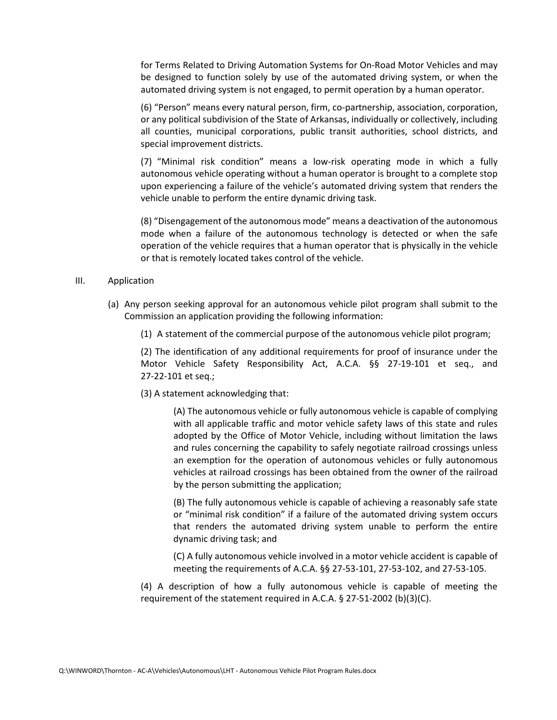for Terms Related to Driving Automation Systems for On-Road Motor Vehicles and may be designed to function solely by use of the automated driving system, or when the automated driving system is not engaged, to permit operation by a human operator.

(6) "Person" means every natural person, firm, co-partnership, association, corporation, or any political subdivision of the State of Arkansas, individually or collectively, including all counties, municipal corporations, public transit authorities, school districts, and special improvement districts.

(7) "Minimal risk condition" means a low-risk operating mode in which a fully autonomous vehicle operating without a human operator is brought to a complete stop upon experiencing a failure of the vehicle's automated driving system that renders the vehicle unable to perform the entire dynamic driving task.

(8) "Disengagement of the autonomous mode" means a deactivation of the autonomous mode when a failure of the autonomous technology is detected or when the safe operation of the vehicle requires that a human operator that is physically in the vehicle or that is remotely located takes control of the vehicle.

## III. Application

- (a) Any person seeking approval for an autonomous vehicle pilot program shall submit to the Commission an application providing the following information:
	- (1) A statement of the commercial purpose of the autonomous vehicle pilot program;

(2) The identification of any additional requirements for proof of insurance under the Motor Vehicle Safety Responsibility Act, A.C.A. §§ 27-19-101 et seq., and 27-22-101 et seq.;

(3) A statement acknowledging that:

(A) The autonomous vehicle or fully autonomous vehicle is capable of complying with all applicable traffic and motor vehicle safety laws of this state and rules adopted by the Office of Motor Vehicle, including without limitation the laws and rules concerning the capability to safely negotiate railroad crossings unless an exemption for the operation of autonomous vehicles or fully autonomous vehicles at railroad crossings has been obtained from the owner of the railroad by the person submitting the application;

(B) The fully autonomous vehicle is capable of achieving a reasonably safe state or "minimal risk condition" if a failure of the automated driving system occurs that renders the automated driving system unable to perform the entire dynamic driving task; and

(C) A fully autonomous vehicle involved in a motor vehicle accident is capable of meeting the requirements of A.C.A. §§ 27-53-101, 27-53-102, and 27-53-105.

(4) A description of how a fully autonomous vehicle is capable of meeting the requirement of the statement required in A.C.A. § 27-51-2002 (b)(3)(C).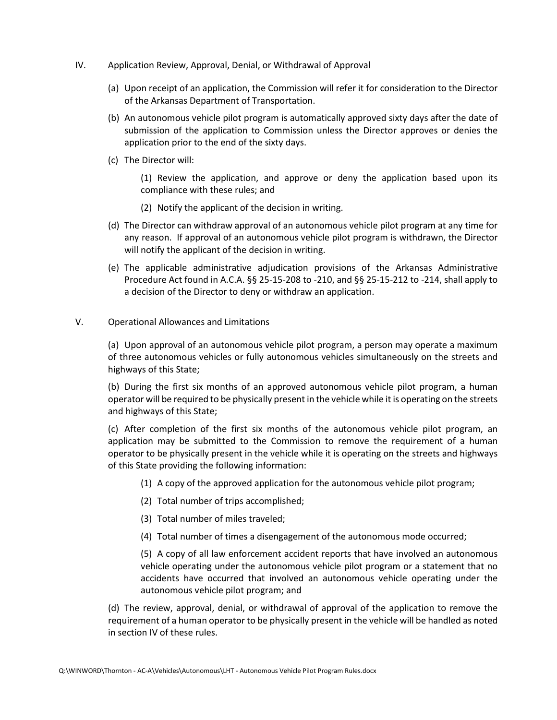- IV. Application Review, Approval, Denial, or Withdrawal of Approval
	- (a) Upon receipt of an application, the Commission will refer it for consideration to the Director of the Arkansas Department of Transportation.
	- (b) An autonomous vehicle pilot program is automatically approved sixty days after the date of submission of the application to Commission unless the Director approves or denies the application prior to the end of the sixty days.
	- (c) The Director will:

(1) Review the application, and approve or deny the application based upon its compliance with these rules; and

- (2) Notify the applicant of the decision in writing.
- (d) The Director can withdraw approval of an autonomous vehicle pilot program at any time for any reason. If approval of an autonomous vehicle pilot program is withdrawn, the Director will notify the applicant of the decision in writing.
- (e) The applicable administrative adjudication provisions of the Arkansas Administrative Procedure Act found in A.C.A. §§ 25-15-208 to -210, and §§ 25-15-212 to -214, shall apply to a decision of the Director to deny or withdraw an application.
- V. Operational Allowances and Limitations

(a) Upon approval of an autonomous vehicle pilot program, a person may operate a maximum of three autonomous vehicles or fully autonomous vehicles simultaneously on the streets and highways of this State;

(b) During the first six months of an approved autonomous vehicle pilot program, a human operator will be required to be physically present in the vehicle while it is operating on the streets and highways of this State;

(c) After completion of the first six months of the autonomous vehicle pilot program, an application may be submitted to the Commission to remove the requirement of a human operator to be physically present in the vehicle while it is operating on the streets and highways of this State providing the following information:

- (1) A copy of the approved application for the autonomous vehicle pilot program;
- (2) Total number of trips accomplished;
- (3) Total number of miles traveled;
- (4) Total number of times a disengagement of the autonomous mode occurred;

(5) A copy of all law enforcement accident reports that have involved an autonomous vehicle operating under the autonomous vehicle pilot program or a statement that no accidents have occurred that involved an autonomous vehicle operating under the autonomous vehicle pilot program; and

(d) The review, approval, denial, or withdrawal of approval of the application to remove the requirement of a human operator to be physically present in the vehicle will be handled as noted in section IV of these rules.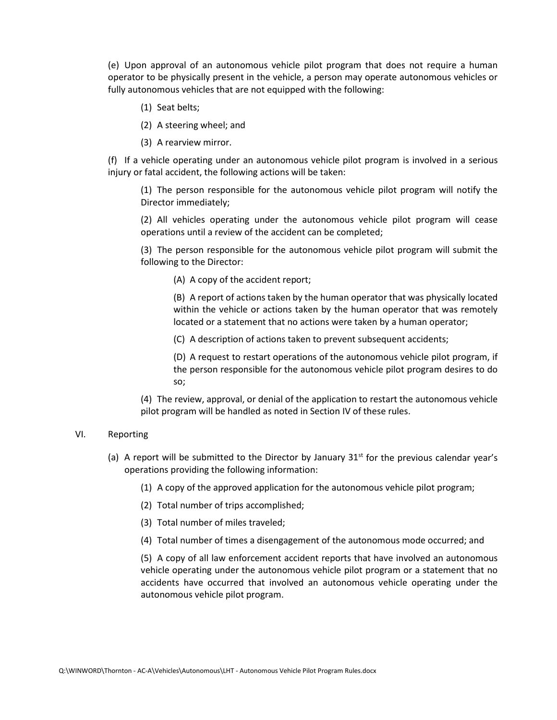(e) Upon approval of an autonomous vehicle pilot program that does not require a human operator to be physically present in the vehicle, a person may operate autonomous vehicles or fully autonomous vehicles that are not equipped with the following:

- (1) Seat belts;
- (2) A steering wheel; and
- (3) A rearview mirror.

(f) If a vehicle operating under an autonomous vehicle pilot program is involved in a serious injury or fatal accident, the following actions will be taken:

(1) The person responsible for the autonomous vehicle pilot program will notify the Director immediately;

(2) All vehicles operating under the autonomous vehicle pilot program will cease operations until a review of the accident can be completed;

(3) The person responsible for the autonomous vehicle pilot program will submit the following to the Director:

(A) A copy of the accident report;

(B) A report of actions taken by the human operator that was physically located within the vehicle or actions taken by the human operator that was remotely located or a statement that no actions were taken by a human operator;

(C) A description of actions taken to prevent subsequent accidents;

(D) A request to restart operations of the autonomous vehicle pilot program, if the person responsible for the autonomous vehicle pilot program desires to do so;

(4) The review, approval, or denial of the application to restart the autonomous vehicle pilot program will be handled as noted in Section IV of these rules.

## VI. Reporting

- (a) A report will be submitted to the Director by January  $31<sup>st</sup>$  for the previous calendar year's operations providing the following information:
	- (1) A copy of the approved application for the autonomous vehicle pilot program;
	- (2) Total number of trips accomplished;
	- (3) Total number of miles traveled;
	- (4) Total number of times a disengagement of the autonomous mode occurred; and

(5) A copy of all law enforcement accident reports that have involved an autonomous vehicle operating under the autonomous vehicle pilot program or a statement that no accidents have occurred that involved an autonomous vehicle operating under the autonomous vehicle pilot program.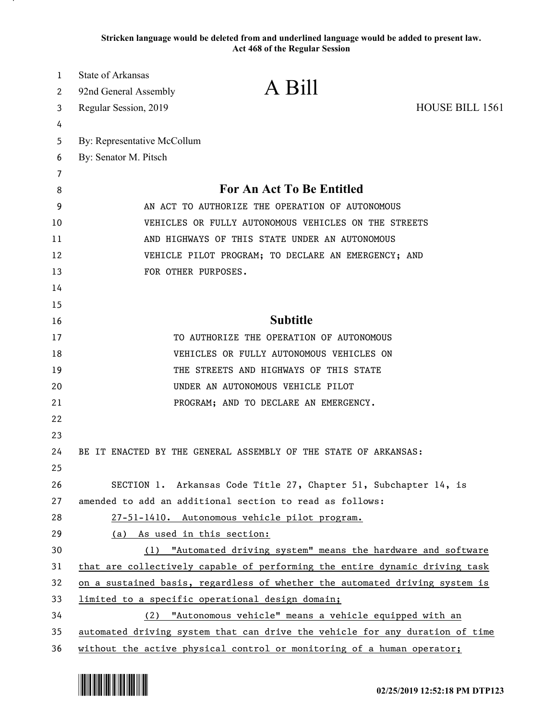**Stricken language would be deleted from and underlined language would be added to present law. Act 468 of the Regular Session**

| 2<br><b>HOUSE BILL 1561</b><br>Regular Session, 2019<br>3<br>4<br>By: Representative McCollum<br>5<br>By: Senator M. Pitsch<br>6<br>7<br>For An Act To Be Entitled<br>8<br>9<br>AN ACT TO AUTHORIZE THE OPERATION OF AUTONOMOUS<br>VEHICLES OR FULLY AUTONOMOUS VEHICLES ON THE STREETS<br>10<br>11<br>AND HIGHWAYS OF THIS STATE UNDER AN AUTONOMOUS<br>12<br>VEHICLE PILOT PROGRAM; TO DECLARE AN EMERGENCY; AND<br>FOR OTHER PURPOSES.<br>13<br>14<br>15<br><b>Subtitle</b><br>16<br>17<br>TO AUTHORIZE THE OPERATION OF AUTONOMOUS<br>VEHICLES OR FULLY AUTONOMOUS VEHICLES ON<br>18<br>THE STREETS AND HIGHWAYS OF THIS STATE<br>19<br>20<br>UNDER AN AUTONOMOUS VEHICLE PILOT<br>21<br>PROGRAM; AND TO DECLARE AN EMERGENCY.<br>22<br>23<br>24<br>BE IT ENACTED BY THE GENERAL ASSEMBLY OF THE STATE OF ARKANSAS:<br>25<br>26<br>SECTION 1. Arkansas Code Title 27, Chapter 51, Subchapter 14, is<br>27<br>amended to add an additional section to read as follows:<br>28<br>27-51-1410. Autonomous vehicle pilot program.<br>29<br>(a) As used in this section:<br>30<br>(1) "Automated driving system" means the hardware and software<br>that are collectively capable of performing the entire dynamic driving task<br>31 | $\mathbf{1}$ | <b>State of Arkansas</b> | A Bill |  |
|-------------------------------------------------------------------------------------------------------------------------------------------------------------------------------------------------------------------------------------------------------------------------------------------------------------------------------------------------------------------------------------------------------------------------------------------------------------------------------------------------------------------------------------------------------------------------------------------------------------------------------------------------------------------------------------------------------------------------------------------------------------------------------------------------------------------------------------------------------------------------------------------------------------------------------------------------------------------------------------------------------------------------------------------------------------------------------------------------------------------------------------------------------------------------------------------------------------------------------------|--------------|--------------------------|--------|--|
|                                                                                                                                                                                                                                                                                                                                                                                                                                                                                                                                                                                                                                                                                                                                                                                                                                                                                                                                                                                                                                                                                                                                                                                                                                     |              | 92nd General Assembly    |        |  |
|                                                                                                                                                                                                                                                                                                                                                                                                                                                                                                                                                                                                                                                                                                                                                                                                                                                                                                                                                                                                                                                                                                                                                                                                                                     |              |                          |        |  |
|                                                                                                                                                                                                                                                                                                                                                                                                                                                                                                                                                                                                                                                                                                                                                                                                                                                                                                                                                                                                                                                                                                                                                                                                                                     |              |                          |        |  |
|                                                                                                                                                                                                                                                                                                                                                                                                                                                                                                                                                                                                                                                                                                                                                                                                                                                                                                                                                                                                                                                                                                                                                                                                                                     |              |                          |        |  |
|                                                                                                                                                                                                                                                                                                                                                                                                                                                                                                                                                                                                                                                                                                                                                                                                                                                                                                                                                                                                                                                                                                                                                                                                                                     |              |                          |        |  |
|                                                                                                                                                                                                                                                                                                                                                                                                                                                                                                                                                                                                                                                                                                                                                                                                                                                                                                                                                                                                                                                                                                                                                                                                                                     |              |                          |        |  |
|                                                                                                                                                                                                                                                                                                                                                                                                                                                                                                                                                                                                                                                                                                                                                                                                                                                                                                                                                                                                                                                                                                                                                                                                                                     |              |                          |        |  |
|                                                                                                                                                                                                                                                                                                                                                                                                                                                                                                                                                                                                                                                                                                                                                                                                                                                                                                                                                                                                                                                                                                                                                                                                                                     |              |                          |        |  |
|                                                                                                                                                                                                                                                                                                                                                                                                                                                                                                                                                                                                                                                                                                                                                                                                                                                                                                                                                                                                                                                                                                                                                                                                                                     |              |                          |        |  |
|                                                                                                                                                                                                                                                                                                                                                                                                                                                                                                                                                                                                                                                                                                                                                                                                                                                                                                                                                                                                                                                                                                                                                                                                                                     |              |                          |        |  |
|                                                                                                                                                                                                                                                                                                                                                                                                                                                                                                                                                                                                                                                                                                                                                                                                                                                                                                                                                                                                                                                                                                                                                                                                                                     |              |                          |        |  |
|                                                                                                                                                                                                                                                                                                                                                                                                                                                                                                                                                                                                                                                                                                                                                                                                                                                                                                                                                                                                                                                                                                                                                                                                                                     |              |                          |        |  |
|                                                                                                                                                                                                                                                                                                                                                                                                                                                                                                                                                                                                                                                                                                                                                                                                                                                                                                                                                                                                                                                                                                                                                                                                                                     |              |                          |        |  |
|                                                                                                                                                                                                                                                                                                                                                                                                                                                                                                                                                                                                                                                                                                                                                                                                                                                                                                                                                                                                                                                                                                                                                                                                                                     |              |                          |        |  |
|                                                                                                                                                                                                                                                                                                                                                                                                                                                                                                                                                                                                                                                                                                                                                                                                                                                                                                                                                                                                                                                                                                                                                                                                                                     |              |                          |        |  |
|                                                                                                                                                                                                                                                                                                                                                                                                                                                                                                                                                                                                                                                                                                                                                                                                                                                                                                                                                                                                                                                                                                                                                                                                                                     |              |                          |        |  |
|                                                                                                                                                                                                                                                                                                                                                                                                                                                                                                                                                                                                                                                                                                                                                                                                                                                                                                                                                                                                                                                                                                                                                                                                                                     |              |                          |        |  |
|                                                                                                                                                                                                                                                                                                                                                                                                                                                                                                                                                                                                                                                                                                                                                                                                                                                                                                                                                                                                                                                                                                                                                                                                                                     |              |                          |        |  |
|                                                                                                                                                                                                                                                                                                                                                                                                                                                                                                                                                                                                                                                                                                                                                                                                                                                                                                                                                                                                                                                                                                                                                                                                                                     |              |                          |        |  |
|                                                                                                                                                                                                                                                                                                                                                                                                                                                                                                                                                                                                                                                                                                                                                                                                                                                                                                                                                                                                                                                                                                                                                                                                                                     |              |                          |        |  |
|                                                                                                                                                                                                                                                                                                                                                                                                                                                                                                                                                                                                                                                                                                                                                                                                                                                                                                                                                                                                                                                                                                                                                                                                                                     |              |                          |        |  |
|                                                                                                                                                                                                                                                                                                                                                                                                                                                                                                                                                                                                                                                                                                                                                                                                                                                                                                                                                                                                                                                                                                                                                                                                                                     |              |                          |        |  |
|                                                                                                                                                                                                                                                                                                                                                                                                                                                                                                                                                                                                                                                                                                                                                                                                                                                                                                                                                                                                                                                                                                                                                                                                                                     |              |                          |        |  |
|                                                                                                                                                                                                                                                                                                                                                                                                                                                                                                                                                                                                                                                                                                                                                                                                                                                                                                                                                                                                                                                                                                                                                                                                                                     |              |                          |        |  |
|                                                                                                                                                                                                                                                                                                                                                                                                                                                                                                                                                                                                                                                                                                                                                                                                                                                                                                                                                                                                                                                                                                                                                                                                                                     |              |                          |        |  |
|                                                                                                                                                                                                                                                                                                                                                                                                                                                                                                                                                                                                                                                                                                                                                                                                                                                                                                                                                                                                                                                                                                                                                                                                                                     |              |                          |        |  |
|                                                                                                                                                                                                                                                                                                                                                                                                                                                                                                                                                                                                                                                                                                                                                                                                                                                                                                                                                                                                                                                                                                                                                                                                                                     |              |                          |        |  |
|                                                                                                                                                                                                                                                                                                                                                                                                                                                                                                                                                                                                                                                                                                                                                                                                                                                                                                                                                                                                                                                                                                                                                                                                                                     |              |                          |        |  |
|                                                                                                                                                                                                                                                                                                                                                                                                                                                                                                                                                                                                                                                                                                                                                                                                                                                                                                                                                                                                                                                                                                                                                                                                                                     |              |                          |        |  |
|                                                                                                                                                                                                                                                                                                                                                                                                                                                                                                                                                                                                                                                                                                                                                                                                                                                                                                                                                                                                                                                                                                                                                                                                                                     |              |                          |        |  |
| 32<br>on a sustained basis, regardless of whether the automated driving system is                                                                                                                                                                                                                                                                                                                                                                                                                                                                                                                                                                                                                                                                                                                                                                                                                                                                                                                                                                                                                                                                                                                                                   |              |                          |        |  |
| 33<br>limited to a specific operational design domain;                                                                                                                                                                                                                                                                                                                                                                                                                                                                                                                                                                                                                                                                                                                                                                                                                                                                                                                                                                                                                                                                                                                                                                              |              |                          |        |  |
| 34<br>(2) "Autonomous vehicle" means a vehicle equipped with an                                                                                                                                                                                                                                                                                                                                                                                                                                                                                                                                                                                                                                                                                                                                                                                                                                                                                                                                                                                                                                                                                                                                                                     |              |                          |        |  |
| 35<br>automated driving system that can drive the vehicle for any duration of time<br>36<br>without the active physical control or monitoring of a human operator;                                                                                                                                                                                                                                                                                                                                                                                                                                                                                                                                                                                                                                                                                                                                                                                                                                                                                                                                                                                                                                                                  |              |                          |        |  |

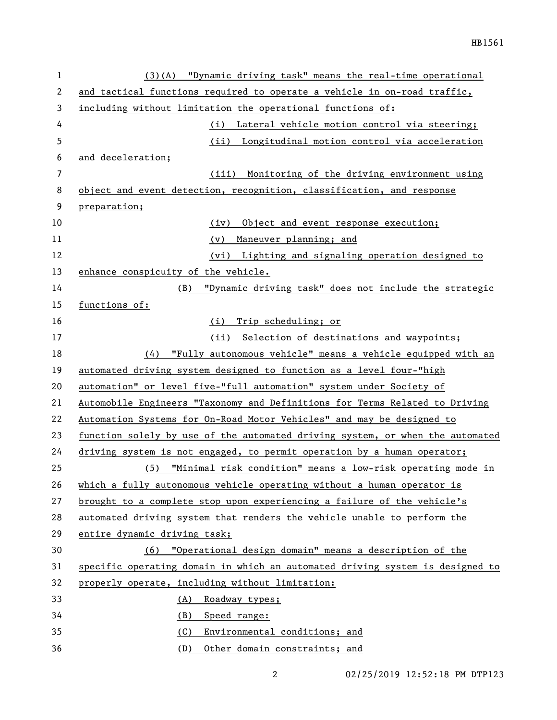| $\mathbf{1}$ | (3)(A) "Dynamic driving task" means the real-time operational                 |
|--------------|-------------------------------------------------------------------------------|
| 2            | and tactical functions required to operate a vehicle in on-road traffic,      |
| 3            | including without limitation the operational functions of:                    |
| 4            | Lateral vehicle motion control via steering;<br>(i)                           |
| 5            | (ii) Longitudinal motion control via acceleration                             |
| 6            | and deceleration;                                                             |
| 7            | Monitoring of the driving environment using<br>(iii)                          |
| 8            | object and event detection, recognition, classification, and response         |
| 9            | preparation;                                                                  |
| 10           | Object and event response execution;<br>(iv)                                  |
| 11           | Maneuver planning; and<br>(v)                                                 |
| 12           | (vi) Lighting and signaling operation designed to                             |
| 13           | enhance conspicuity of the vehicle.                                           |
| 14           | "Dynamic driving task" does not include the strategic<br>(B)                  |
| 15           | functions of:                                                                 |
| 16           | Trip scheduling; or<br>(i)                                                    |
| 17           | Selection of destinations and waypoints;<br>(ii)                              |
| 18           | "Fully autonomous vehicle" means a vehicle equipped with an<br>(4)            |
| 19           | automated driving system designed to function as a level four-"high           |
| 20           | automation" or level five-"full automation" system under Society of           |
| 21           | Automobile Engineers "Taxonomy and Definitions for Terms Related to Driving   |
| 22           | Automation Systems for On-Road Motor Vehicles" and may be designed to         |
| 23           | function solely by use of the automated driving system, or when the automated |
| 24           | driving system is not engaged, to permit operation by a human operator;       |
| 25           | (5) "Minimal risk condition" means a low-risk operating mode in               |
| 26           | which a fully autonomous vehicle operating without a human operator is        |
| 27           | brought to a complete stop upon experiencing a failure of the vehicle's       |
| 28           | automated driving system that renders the vehicle unable to perform the       |
| 29           | entire dynamic driving task;                                                  |
| 30           | (6) "Operational design domain" means a description of the                    |
| 31           | specific operating domain in which an automated driving system is designed to |
| 32           | properly operate, including without limitation:                               |
| 33           | (A)<br>Roadway types;                                                         |
| 34           | Speed range:<br>(B)                                                           |
| 35           | (C)<br>Environmental conditions; and                                          |
| 36           | Other domain constraints; and<br>(D)                                          |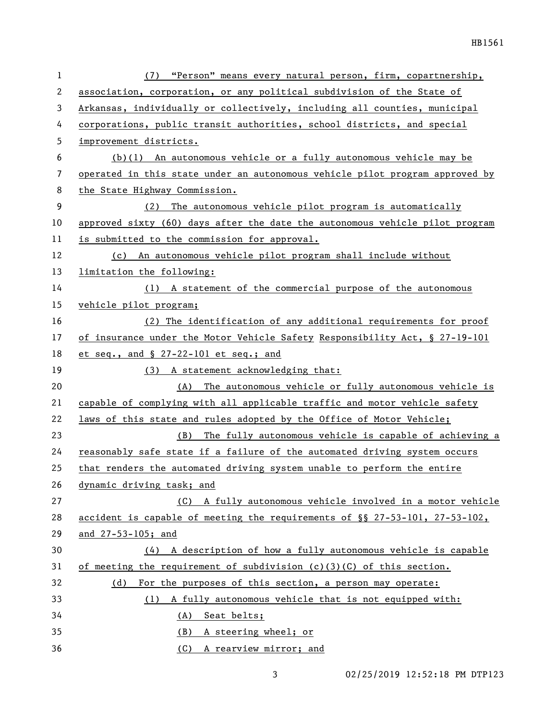| 1  | (7) "Person" means every natural person, firm, copartnership,                |
|----|------------------------------------------------------------------------------|
| 2  | association, corporation, or any political subdivision of the State of       |
| 3  | Arkansas, individually or collectively, including all counties, municipal    |
| 4  | corporations, public transit authorities, school districts, and special      |
| 5  | improvement districts.                                                       |
| 6  | $(b)(1)$ An autonomous vehicle or a fully autonomous vehicle may be          |
| 7  | operated in this state under an autonomous vehicle pilot program approved by |
| 8  | the State Highway Commission.                                                |
| 9  | (2) The autonomous vehicle pilot program is automatically                    |
| 10 | approved sixty (60) days after the date the autonomous vehicle pilot program |
| 11 | is submitted to the commission for approval.                                 |
| 12 | (c) An autonomous vehicle pilot program shall include without                |
| 13 | limitation the following:                                                    |
| 14 | (1) A statement of the commercial purpose of the autonomous                  |
| 15 | vehicle pilot program;                                                       |
| 16 | (2) The identification of any additional requirements for proof              |
| 17 | of insurance under the Motor Vehicle Safety Responsibility Act, § 27-19-101  |
| 18 | et seq., and $\S$ 27-22-101 et seq.; and                                     |
| 19 | (3) A statement acknowledging that:                                          |
| 20 | The autonomous vehicle or fully autonomous vehicle is<br>(A)                 |
| 21 | capable of complying with all applicable traffic and motor vehicle safety    |
| 22 | laws of this state and rules adopted by the Office of Motor Vehicle;         |
| 23 | (B) The fully autonomous vehicle is capable of achieving a                   |
| 24 | reasonably safe state if a failure of the automated driving system occurs    |
| 25 | that renders the automated driving system unable to perform the entire       |
| 26 | dynamic driving task; and                                                    |
| 27 | A fully autonomous vehicle involved in a motor vehicle<br>(C)                |
| 28 | accident is capable of meeting the requirements of §§ 27-53-101, 27-53-102,  |
| 29 | and 27-53-105; and                                                           |
| 30 | (4) A description of how a fully autonomous vehicle is capable               |
| 31 | of meeting the requirement of subdivision $(c)(3)(C)$ of this section.       |
| 32 | For the purposes of this section, a person may operate:<br>(d)               |
| 33 | A fully autonomous vehicle that is not equipped with:<br>(1)                 |
| 34 | (A) Seat belts;                                                              |
| 35 | A steering wheel; or<br>(B)                                                  |
| 36 | (C) A rearview mirror; and                                                   |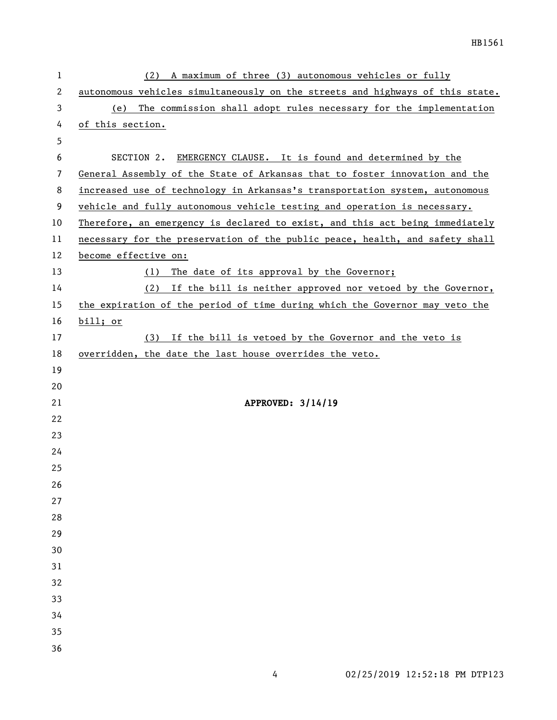| $\mathbf{1}$ | A maximum of three (3) autonomous vehicles or fully<br>(2)                    |  |  |  |
|--------------|-------------------------------------------------------------------------------|--|--|--|
| $\mathbf{2}$ | autonomous vehicles simultaneously on the streets and highways of this state. |  |  |  |
| 3            | The commission shall adopt rules necessary for the implementation<br>(e)      |  |  |  |
| 4            | of this section.                                                              |  |  |  |
| 5            |                                                                               |  |  |  |
| 6            | SECTION 2. EMERGENCY CLAUSE. It is found and determined by the                |  |  |  |
| 7            | General Assembly of the State of Arkansas that to foster innovation and the   |  |  |  |
| 8            | increased use of technology in Arkansas's transportation system, autonomous   |  |  |  |
| 9            | vehicle and fully autonomous vehicle testing and operation is necessary.      |  |  |  |
| 10           | Therefore, an emergency is declared to exist, and this act being immediately  |  |  |  |
| 11           | necessary for the preservation of the public peace, health, and safety shall  |  |  |  |
| 12           | become effective on:                                                          |  |  |  |
| 13           | (1) The date of its approval by the Governor;                                 |  |  |  |
| 14           | (2) If the bill is neither approved nor vetoed by the Governor,               |  |  |  |
| 15           | the expiration of the period of time during which the Governor may veto the   |  |  |  |
| 16           | bill; or                                                                      |  |  |  |
| 17           | (3) If the bill is vetoed by the Governor and the veto is                     |  |  |  |
| 18           | overridden, the date the last house overrides the veto.                       |  |  |  |
| 19           |                                                                               |  |  |  |
| 20           |                                                                               |  |  |  |
| 21           | APPROVED: 3/14/19                                                             |  |  |  |
| 22           |                                                                               |  |  |  |
| 23           |                                                                               |  |  |  |
| 24           |                                                                               |  |  |  |
| 25           |                                                                               |  |  |  |
| 26           |                                                                               |  |  |  |
| 27           |                                                                               |  |  |  |
| 28           |                                                                               |  |  |  |
| 29           |                                                                               |  |  |  |
| 30           |                                                                               |  |  |  |
| 31           |                                                                               |  |  |  |
| 32           |                                                                               |  |  |  |
| 33           |                                                                               |  |  |  |
| 34           |                                                                               |  |  |  |
| 35           |                                                                               |  |  |  |
| 36           |                                                                               |  |  |  |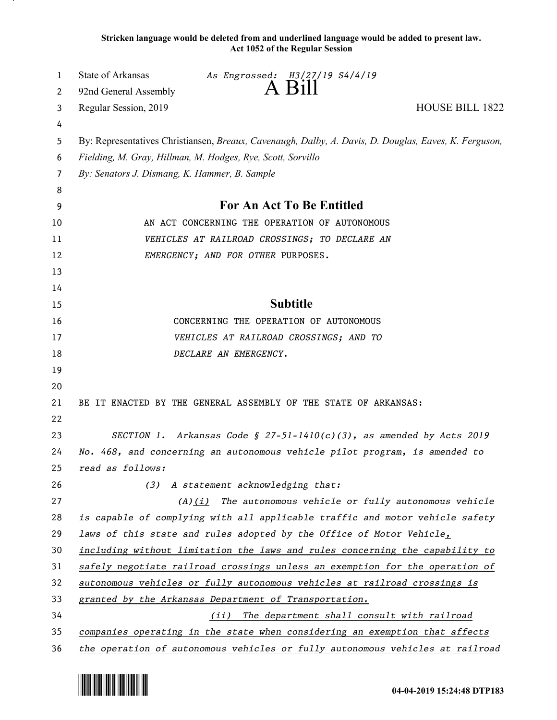**Stricken language would be deleted from and underlined language would be added to present law. Act 1052 of the Regular Session**

| 1  | State of Arkansas                             | As Engrossed: H3/27/19 S4/4/19                                                                        |                        |
|----|-----------------------------------------------|-------------------------------------------------------------------------------------------------------|------------------------|
| 2  | 92nd General Assembly                         | $A$ B <sub>1</sub> $\parallel$                                                                        |                        |
| 3  | Regular Session, 2019                         |                                                                                                       | <b>HOUSE BILL 1822</b> |
| 4  |                                               |                                                                                                       |                        |
| 5  |                                               | By: Representatives Christiansen, Breaux, Cavenaugh, Dalby, A. Davis, D. Douglas, Eaves, K. Ferguson, |                        |
| 6  |                                               | Fielding, M. Gray, Hillman, M. Hodges, Rye, Scott, Sorvillo                                           |                        |
| 7  | By: Senators J. Dismang, K. Hammer, B. Sample |                                                                                                       |                        |
| 8  |                                               |                                                                                                       |                        |
| 9  |                                               | For An Act To Be Entitled                                                                             |                        |
| 10 |                                               | AN ACT CONCERNING THE OPERATION OF AUTONOMOUS                                                         |                        |
| 11 |                                               | VEHICLES AT RAILROAD CROSSINGS; TO DECLARE AN                                                         |                        |
| 12 |                                               | EMERGENCY; AND FOR OTHER PURPOSES.                                                                    |                        |
| 13 |                                               |                                                                                                       |                        |
| 14 |                                               |                                                                                                       |                        |
| 15 |                                               | <b>Subtitle</b>                                                                                       |                        |
| 16 |                                               | CONCERNING THE OPERATION OF AUTONOMOUS                                                                |                        |
| 17 |                                               | VEHICLES AT RAILROAD CROSSINGS; AND TO                                                                |                        |
| 18 |                                               | DECLARE AN EMERGENCY.                                                                                 |                        |
| 19 |                                               |                                                                                                       |                        |
| 20 |                                               |                                                                                                       |                        |
| 21 |                                               | BE IT ENACTED BY THE GENERAL ASSEMBLY OF THE STATE OF ARKANSAS:                                       |                        |
| 22 |                                               |                                                                                                       |                        |
| 23 |                                               | SECTION 1. Arkansas Code § 27-51-1410(c)(3), as amended by Acts 2019                                  |                        |
| 24 |                                               | No. 468, and concerning an autonomous vehicle pilot program, is amended to                            |                        |
| 25 | read as follows:                              |                                                                                                       |                        |
| 26 |                                               | (3) A statement acknowledging that:                                                                   |                        |
| 27 |                                               | $(A)(i)$ The autonomous vehicle or fully autonomous vehicle                                           |                        |
| 28 |                                               | is capable of complying with all applicable traffic and motor vehicle safety                          |                        |
| 29 |                                               | laws of this state and rules adopted by the Office of Motor Vehicle,                                  |                        |
| 30 |                                               | including without limitation the laws and rules concerning the capability to                          |                        |
| 31 |                                               | safely negotiate railroad crossings unless an exemption for the operation of                          |                        |
| 32 |                                               | autonomous vehicles or fully autonomous vehicles at railroad crossings is                             |                        |
| 33 |                                               | granted by the Arkansas Department of Transportation.                                                 |                        |
| 34 |                                               | (ii) The department shall consult with railroad                                                       |                        |
| 35 |                                               | companies operating in the state when considering an exemption that affects                           |                        |
| 36 |                                               | the operation of autonomous vehicles or fully autonomous vehicles at railroad                         |                        |